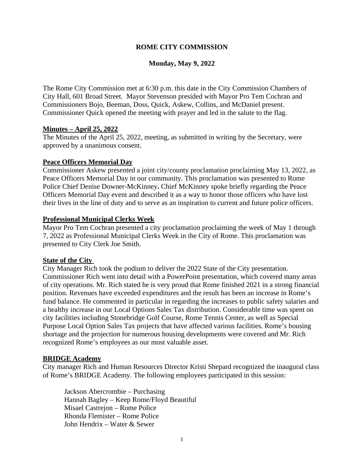## **ROME CITY COMMISSION**

### **Monday, May 9, 2022**

The Rome City Commission met at 6:30 p.m. this date in the City Commission Chambers of City Hall, 601 Broad Street. Mayor Stevenson presided with Mayor Pro Tem Cochran and Commissioners Bojo, Beeman, Doss, Quick, Askew, Collins, and McDaniel present. Commissioner Quick opened the meeting with prayer and led in the salute to the flag.

#### **Minutes – April 25, 2022**

The Minutes of the April 25, 2022, meeting, as submitted in writing by the Secretary, were approved by a unanimous consent.

#### **Peace Officers Memorial Day**

Commissioner Askew presented a joint city/county proclamation proclaiming May 13, 2022, as Peace Officers Memorial Day in our community. This proclamation was presented to Rome Police Chief Denise Downer-McKinney**.** Chief McKinney spoke briefly regarding the Peace Officers Memorial Day event and described it as a way to honor those officers who have lost their lives in the line of duty and to serve as an inspiration to current and future police officers.

#### **Professional Municipal Clerks Week**

Mayor Pro Tem Cochran presented a city proclamation proclaiming the week of May 1 through 7, 2022 as Professional Municipal Clerks Week in the City of Rome. This proclamation was presented to City Clerk Joe Smith.

#### **State of the City**

City Manager Rich took the podium to deliver the 2022 State of the City presentation. Commissioner Rich went into detail with a PowerPoint presentation, which covered many areas of city operations. Mr. Rich stated he is very proud that Rome finished 2021 in a strong financial position. Revenues have exceeded expenditures and the result has been an increase in Rome's fund balance. He commented in particular in regarding the increases to public safety salaries and a healthy increase in our Local Options Sales Tax distribution. Considerable time was spent on city facilities including Stonebridge Golf Course, Rome Tennis Center, as well as Special Purpose Local Option Sales Tax projects that have affected various facilities. Rome's housing shortage and the projection for numerous housing developments were covered and Mr. Rich recognized Rome's employees as our most valuable asset.

#### **BRIDGE Academy**

City manager Rich and Human Resources Director Kristi Shepard recognized the inaugural class of Rome's BRIDGE Academy. The following employees participated in this session:

Jackson Abercrombie – Purchasing Hannah Bagley – Keep Rome/Floyd Beautiful Misael Castrejon – Rome Police Rhonda Flemister – Rome Police John Hendrix – Water & Sewer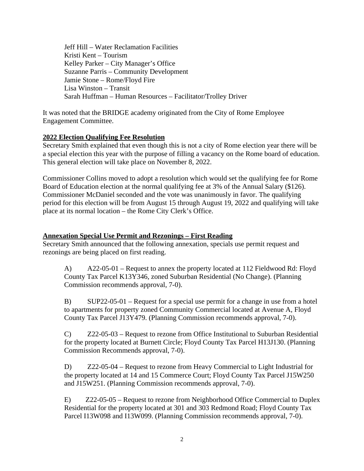Jeff Hill – Water Reclamation Facilities Kristi Kent – Tourism Kelley Parker – City Manager's Office Suzanne Parris – Community Development Jamie Stone – Rome/Floyd Fire Lisa Winston – Transit Sarah Huffman – Human Resources – Facilitator/Trolley Driver

It was noted that the BRIDGE academy originated from the City of Rome Employee Engagement Committee.

### **2022 Election Qualifying Fee Resolution**

Secretary Smith explained that even though this is not a city of Rome election year there will be a special election this year with the purpose of filling a vacancy on the Rome board of education. This general election will take place on November 8, 2022.

Commissioner Collins moved to adopt a resolution which would set the qualifying fee for Rome Board of Education election at the normal qualifying fee at 3% of the Annual Salary (\$126). Commissioner McDaniel seconded and the vote was unanimously in favor. The qualifying period for this election will be from August 15 through August 19, 2022 and qualifying will take place at its normal location – the Rome City Clerk's Office.

### **Annexation Special Use Permit and Rezonings – First Reading**

Secretary Smith announced that the following annexation, specials use permit request and rezonings are being placed on first reading.

A) A22-05-01 – Request to annex the property located at 112 Fieldwood Rd: Floyd County Tax Parcel K13Y346, zoned Suburban Residential (No Change). (Planning Commission recommends approval, 7-0).

B) SUP22-05-01 – Request for a special use permit for a change in use from a hotel to apartments for property zoned Community Commercial located at Avenue A, Floyd County Tax Parcel J13Y479. (Planning Commission recommends approval, 7-0).

C) Z22-05-03 – Request to rezone from Office Institutional to Suburban Residential for the property located at Burnett Circle; Floyd County Tax Parcel H13J130. (Planning Commission Recommends approval, 7-0).

D) Z22-05-04 – Request to rezone from Heavy Commercial to Light Industrial for the property located at 14 and 15 Commerce Court; Floyd County Tax Parcel J15W250 and J15W251. (Planning Commission recommends approval, 7-0).

E) Z22-05-05 – Request to rezone from Neighborhood Office Commercial to Duplex Residential for the property located at 301 and 303 Redmond Road; Floyd County Tax Parcel I13W098 and I13W099. (Planning Commission recommends approval, 7-0).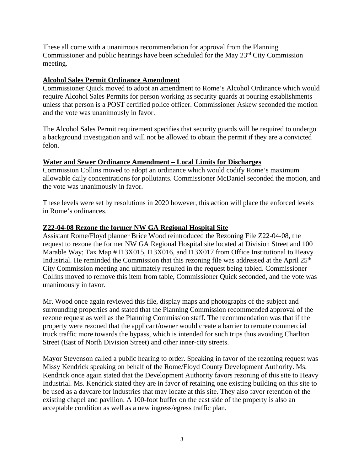These all come with a unanimous recommendation for approval from the Planning Commissioner and public hearings have been scheduled for the May 23rd City Commission meeting.

## **Alcohol Sales Permit Ordinance Amendment**

Commissioner Quick moved to adopt an amendment to Rome's Alcohol Ordinance which would require Alcohol Sales Permits for person working as security guards at pouring establishments unless that person is a POST certified police officer. Commissioner Askew seconded the motion and the vote was unanimously in favor.

The Alcohol Sales Permit requirement specifies that security guards will be required to undergo a background investigation and will not be allowed to obtain the permit if they are a convicted felon.

### **Water and Sewer Ordinance Amendment – Local Limits for Discharges**

Commission Collins moved to adopt an ordinance which would codify Rome's maximum allowable daily concentrations for pollutants. Commissioner McDaniel seconded the motion, and the vote was unanimously in favor.

These levels were set by resolutions in 2020 however, this action will place the enforced levels in Rome's ordinances.

# **Z22-04-08 Rezone the former NW GA Regional Hospital Site**

Assistant Rome/Floyd planner Brice Wood reintroduced the Rezoning File Z22-04-08, the request to rezone the former NW GA Regional Hospital site located at Division Street and 100 Marable Way; Tax Map # I13X015, I13X016, and I13X017 from Office Institutional to Heavy Industrial. He reminded the Commission that this rezoning file was addressed at the April 25<sup>th</sup> City Commission meeting and ultimately resulted in the request being tabled. Commissioner Collins moved to remove this item from table, Commissioner Quick seconded, and the vote was unanimously in favor.

Mr. Wood once again reviewed this file, display maps and photographs of the subject and surrounding properties and stated that the Planning Commission recommended approval of the rezone request as well as the Planning Commission staff. The recommendation was that if the property were rezoned that the applicant/owner would create a barrier to reroute commercial truck traffic more towards the bypass, which is intended for such trips thus avoiding Charlton Street (East of North Division Street) and other inner-city streets.

Mayor Stevenson called a public hearing to order. Speaking in favor of the rezoning request was Missy Kendrick speaking on behalf of the Rome/Floyd County Development Authority. Ms. Kendrick once again stated that the Development Authority favors rezoning of this site to Heavy Industrial. Ms. Kendrick stated they are in favor of retaining one existing building on this site to be used as a daycare for industries that may locate at this site. They also favor retention of the existing chapel and pavilion. A 100-foot buffer on the east side of the property is also an acceptable condition as well as a new ingress/egress traffic plan.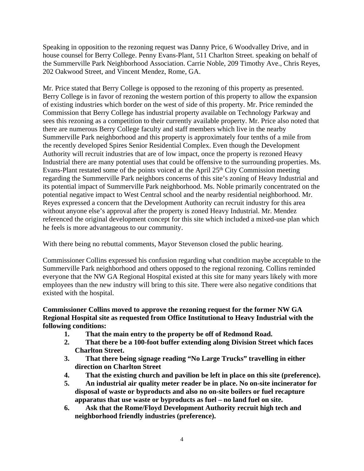Speaking in opposition to the rezoning request was Danny Price, 6 Woodvalley Drive, and in house counsel for Berry College. Penny Evans-Plant, 511 Charlton Street. speaking on behalf of the Summerville Park Neighborhood Association. Carrie Noble, 209 Timothy Ave., Chris Reyes, 202 Oakwood Street, and Vincent Mendez, Rome, GA.

Mr. Price stated that Berry College is opposed to the rezoning of this property as presented. Berry College is in favor of rezoning the western portion of this property to allow the expansion of existing industries which border on the west of side of this property. Mr. Price reminded the Commission that Berry College has industrial property available on Technology Parkway and sees this rezoning as a competition to their currently available property. Mr. Price also noted that there are numerous Berry College faculty and staff members which live in the nearby Summerville Park neighborhood and this property is approximately four tenths of a mile from the recently developed Spires Senior Residential Complex. Even though the Development Authority will recruit industries that are of low impact, once the property is rezoned Heavy Industrial there are many potential uses that could be offensive to the surrounding properties. Ms. Evans-Plant restated some of the points voiced at the April 25<sup>th</sup> City Commission meeting regarding the Summerville Park neighbors concerns of this site's zoning of Heavy Industrial and its potential impact of Summerville Park neighborhood. Ms. Noble primarily concentrated on the potential negative impact to West Central school and the nearby residential neighborhood. Mr. Reyes expressed a concern that the Development Authority can recruit industry for this area without anyone else's approval after the property is zoned Heavy Industrial. Mr. Mendez referenced the original development concept for this site which included a mixed-use plan which he feels is more advantageous to our community.

With there being no rebuttal comments, Mayor Stevenson closed the public hearing.

Commissioner Collins expressed his confusion regarding what condition maybe acceptable to the Summerville Park neighborhood and others opposed to the regional rezoning. Collins reminded everyone that the NW GA Regional Hospital existed at this site for many years likely with more employees than the new industry will bring to this site. There were also negative conditions that existed with the hospital.

**Commissioner Collins moved to approve the rezoning request for the former NW GA Regional Hospital site as requested from Office Institutional to Heavy Industrial with the following conditions:**

- **1. That the main entry to the property be off of Redmond Road.**
- **2. That there be a 100-foot buffer extending along Division Street which faces Charlton Street.**
- **3. That there being signage reading "No Large Trucks" travelling in either direction on Charlton Street**
- **4. That the existing church and pavilion be left in place on this site (preference).**
- **5. An industrial air quality meter reader be in place. No on-site incinerator for disposal of waste or byproducts and also no on-site boilers or fuel recapture apparatus that use waste or byproducts as fuel – no land fuel on site.**
- **6. Ask that the Rome/Floyd Development Authority recruit high tech and neighborhood friendly industries (preference).**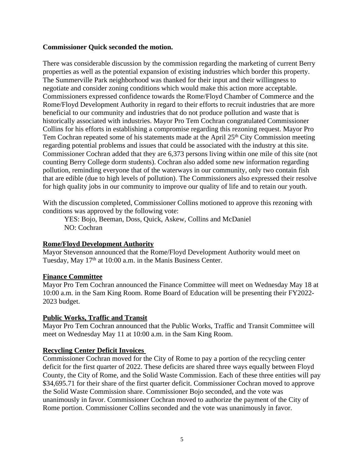### **Commissioner Quick seconded the motion.**

There was considerable discussion by the commission regarding the marketing of current Berry properties as well as the potential expansion of existing industries which border this property. The Summerville Park neighborhood was thanked for their input and their willingness to negotiate and consider zoning conditions which would make this action more acceptable. Commissioners expressed confidence towards the Rome/Floyd Chamber of Commerce and the Rome/Floyd Development Authority in regard to their efforts to recruit industries that are more beneficial to our community and industries that do not produce pollution and waste that is historically associated with industries. Mayor Pro Tem Cochran congratulated Commissioner Collins for his efforts in establishing a compromise regarding this rezoning request. Mayor Pro Tem Cochran repeated some of his statements made at the April 25<sup>th</sup> City Commission meeting regarding potential problems and issues that could be associated with the industry at this site. Commissioner Cochran added that they are 6,373 persons living within one mile of this site (not counting Berry College dorm students). Cochran also added some new information regarding pollution, reminding everyone that of the waterways in our community, only two contain fish that are edible (due to high levels of pollution). The Commissioners also expressed their resolve for high quality jobs in our community to improve our quality of life and to retain our youth.

With the discussion completed, Commissioner Collins motioned to approve this rezoning with conditions was approved by the following vote:

YES: Bojo, Beeman, Doss, Quick, Askew, Collins and McDaniel NO: Cochran

# **Rome/Floyd Development Authority**

Mayor Stevenson announced that the Rome/Floyd Development Authority would meet on Tuesday, May 17<sup>th</sup> at 10:00 a.m. in the Manis Business Center.

### **Finance Committee**

Mayor Pro Tem Cochran announced the Finance Committee will meet on Wednesday May 18 at 10:00 a.m. in the Sam King Room. Rome Board of Education will be presenting their FY2022- 2023 budget.

### **Public Works, Traffic and Transit**

Mayor Pro Tem Cochran announced that the Public Works, Traffic and Transit Committee will meet on Wednesday May 11 at 10:00 a.m. in the Sam King Room.

# **Recycling Center Deficit Invoices**

Commissioner Cochran moved for the City of Rome to pay a portion of the recycling center deficit for the first quarter of 2022. These deficits are shared three ways equally between Floyd County, the City of Rome, and the Solid Waste Commission. Each of these three entities will pay \$34,695.71 for their share of the first quarter deficit. Commissioner Cochran moved to approve the Solid Waste Commission share. Commissioner Bojo seconded, and the vote was unanimously in favor. Commissioner Cochran moved to authorize the payment of the City of Rome portion. Commissioner Collins seconded and the vote was unanimously in favor.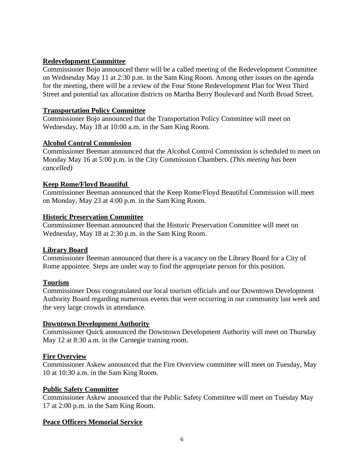### **Redevelopment Committee**

Commissioner Bojo announced there will be a called meeting of the Redevelopment Committee on Wednesday May 11 at 2:30 p.m. in the Sam King Room. Among other issues on the agenda for the meeting, there will be a review of the Four Stone Redevelopment Plan for West Third Street and potential tax allocation districts on Martha Berry Boulevard and North Broad Street.

### **Transportation Policy Committee**

Commissioner Bojo announced that the Transportation Policy Committee will meet on Wednesday, May 18 at 10:00 a.m. in the Sam King Room.

### **Alcohol Control Commission**

Commissioner Beeman announced that the Alcohol Control Commission is scheduled to meet on Monday May 16 at 5:00 p.m. in the City Commission Chambers. (*This meeting has been cancelled)*

### **Keep Rome/Floyd Beautiful**

Commissioner Beeman announced that the Keep Rome/Floyd Beautiful Commission will meet on Monday, May 23 at 4:00 p.m. in the Sam King Room.

### **Historic Preservation Committee**

Commissioner Beeman announced that the Historic Preservation Committee will meet on Wednesday, May 18 at 2:30 p.m. in the Sam King Room.

### **Library Board**

Commissioner Beeman announced that there is a vacancy on the Library Board for a City of Rome appointee. Steps are under way to find the appropriate person for this position.

# **Tourism**

Commissioner Doss congratulated our local tourism officials and our Downtown Development Authority Board regarding numerous events that were occurring in our community last week and the very large crowds in attendance.

### **Downtown Development Authority**

Commissioner Quick announced the Downtown Development Authority will meet on Thursday May 12 at 8:30 a.m. in the Carnegie training room.

# **Fire Overview**

Commissioner Askew announced that the Fire Overview committee will meet on Tuesday, May 10 at 10:30 a.m. in the Sam King Room.

### **Public Safety Committee**

Commissioner Askew announced that the Public Safety Committee will meet on Tuesday May 17 at 2:00 p.m. in the Sam King Room.

# **Peace Officers Memorial Service**